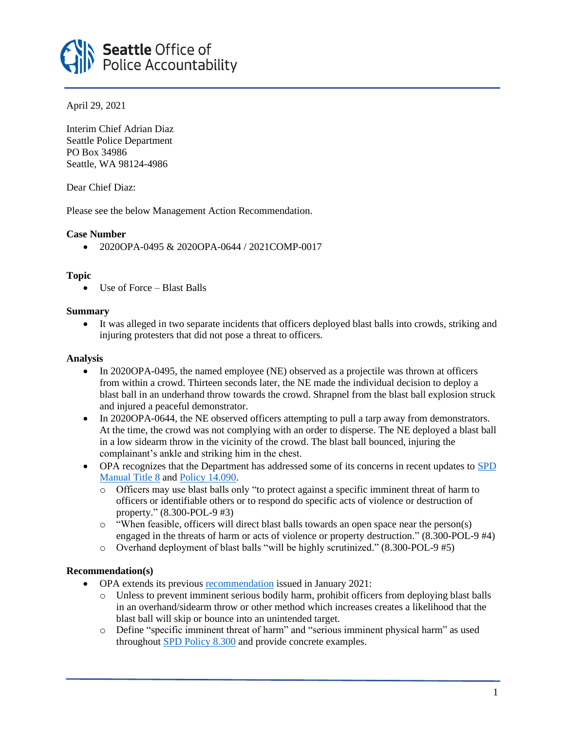

April 29, 2021

Interim Chief Adrian Diaz Seattle Police Department PO Box 34986 Seattle, WA 98124-4986

Dear Chief Diaz:

Please see the below Management Action Recommendation.

# **Case Number**

• 2020OPA-0495 & 2020OPA-0644 / 2021COMP-0017

# **Topic**

• Use of Force – Blast Balls

# **Summary**

• It was alleged in two separate incidents that officers deployed blast balls into crowds, striking and injuring protesters that did not pose a threat to officers.

## **Analysis**

- In 2020OPA-0495, the named employee (NE) observed as a projectile was thrown at officers from within a crowd. Thirteen seconds later, the NE made the individual decision to deploy a blast ball in an underhand throw towards the crowd. Shrapnel from the blast ball explosion struck and injured a peaceful demonstrator.
- In 2020OPA-0644, the NE observed officers attempting to pull a tarp away from demonstrators. At the time, the crowd was not complying with an order to disperse. The NE deployed a blast ball in a low sidearm throw in the vicinity of the crowd. The blast ball bounced, injuring the complainant's ankle and striking him in the chest.
- OPA recognizes that the Department has addressed some of its concerns in recent updates to [SPD](https://www.seattle.gov/police-manual/title-8)  [Manual Title 8](https://www.seattle.gov/police-manual/title-8) an[d Policy 14.090.](https://www.seattle.gov/police-manual/title-14---emergency-operations/14090---crowd-management-intervention-and-control)
	- o Officers may use blast balls only "to protect against a specific imminent threat of harm to officers or identifiable others or to respond do specific acts of violence or destruction of property." (8.300-POL-9 #3)
	- o "When feasible, officers will direct blast balls towards an open space near the person(s) engaged in the threats of harm or acts of violence or property destruction." (8.300-POL-9 #4)
	- o Overhand deployment of blast balls "will be highly scrutinized." (8.300-POL-9 #5)

# **Recommendation(s)**

- OPA extends its previous **recommendation** issued in January 2021:
	- o Unless to prevent imminent serious bodily harm, prohibit officers from deploying blast balls in an overhand/sidearm throw or other method which increases creates a likelihood that the blast ball will skip or bounce into an unintended target.
	- o Define "specific imminent threat of harm" and "serious imminent physical harm" as used throughout [SPD Policy 8.300](https://www.seattle.gov/police-manual/title-8---use-of-force/8300---use-of-force-weapons-and-tools) and provide concrete examples.